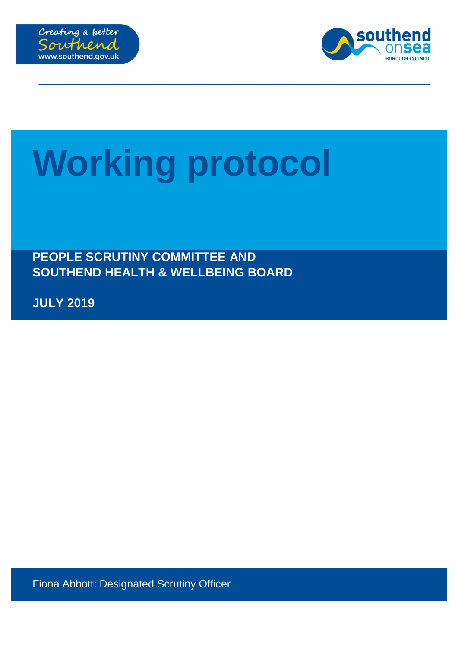



## **Working protocol**

**PEOPLE SCRUTINY COMMITTEE AND SOUTHEND HEALTH & WELLBEING BOARD**

**JULY 2019**

Fiona Abbott: Designated Scrutiny Officer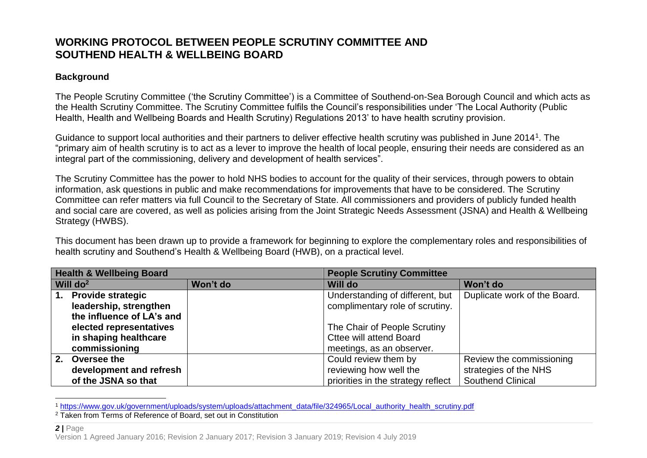## **WORKING PROTOCOL BETWEEN PEOPLE SCRUTINY COMMITTEE AND SOUTHEND HEALTH & WELLBEING BOARD**

## **Background**

The People Scrutiny Committee ('the Scrutiny Committee') is a Committee of Southend-on-Sea Borough Council and which acts as the Health Scrutiny Committee. The Scrutiny Committee fulfils the Council's responsibilities under 'The Local Authority (Public Health, Health and Wellbeing Boards and Health Scrutiny) Regulations 2013' to have health scrutiny provision.

Guidance to support local authorities and their partners to deliver effective health scrutiny was published in June 2014<sup>1</sup>. The "primary aim of health scrutiny is to act as a lever to improve the health of local people, ensuring their needs are considered as an integral part of the commissioning, delivery and development of health services".

The Scrutiny Committee has the power to hold NHS bodies to account for the quality of their services, through powers to obtain information, ask questions in public and make recommendations for improvements that have to be considered. The Scrutiny Committee can refer matters via full Council to the Secretary of State. All commissioners and providers of publicly funded health and social care are covered, as well as policies arising from the Joint Strategic Needs Assessment (JSNA) and Health & Wellbeing Strategy (HWBS).

This document has been drawn up to provide a framework for beginning to explore the complementary roles and responsibilities of health scrutiny and Southend's Health & Wellbeing Board (HWB), on a practical level.

| <b>Health &amp; Wellbeing Board</b> |                           | <b>People Scrutiny Committee</b> |                                    |                              |
|-------------------------------------|---------------------------|----------------------------------|------------------------------------|------------------------------|
| Will $do2$                          |                           | Won't do                         | Will do                            | Won't do                     |
| 1.                                  | <b>Provide strategic</b>  |                                  | Understanding of different, but    | Duplicate work of the Board. |
|                                     | leadership, strengthen    |                                  | complimentary role of scrutiny.    |                              |
|                                     | the influence of LA's and |                                  |                                    |                              |
|                                     | elected representatives   |                                  | The Chair of People Scrutiny       |                              |
|                                     | in shaping healthcare     |                                  | <b>Cttee will attend Board</b>     |                              |
|                                     | commissioning             |                                  | meetings, as an observer.          |                              |
| 2.                                  | Oversee the               |                                  | Could review them by               | Review the commissioning     |
|                                     | development and refresh   |                                  | reviewing how well the             | strategies of the NHS        |
|                                     | of the JSNA so that       |                                  | priorities in the strategy reflect | <b>Southend Clinical</b>     |

 $\overline{a}$ <sup>1</sup> [https://www.gov.uk/government/uploads/system/uploads/attachment\\_data/file/324965/Local\\_authority\\_health\\_scrutiny.pdf](https://www.gov.uk/government/uploads/system/uploads/attachment_data/file/324965/Local_authority_health_scrutiny.pdf)

<sup>2</sup> Taken from Terms of Reference of Board, set out in Constitution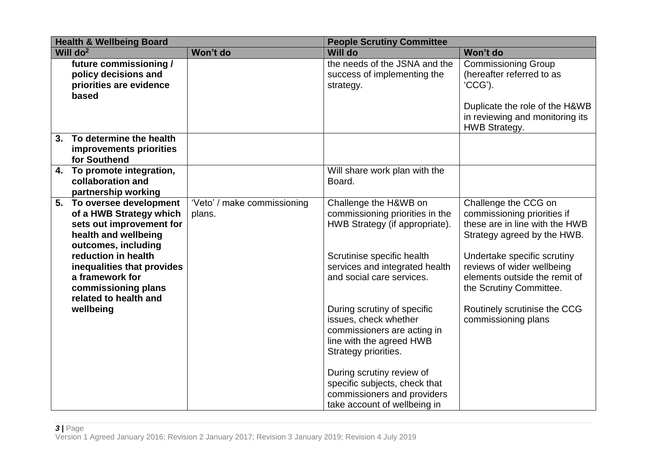| <b>Health &amp; Wellbeing Board</b> |                                                                                                                                 | <b>People Scrutiny Committee</b>      |                                                                                                                                         |                                                                                                                       |
|-------------------------------------|---------------------------------------------------------------------------------------------------------------------------------|---------------------------------------|-----------------------------------------------------------------------------------------------------------------------------------------|-----------------------------------------------------------------------------------------------------------------------|
|                                     | Will $do2$                                                                                                                      | Won't do                              | <b>Will do</b>                                                                                                                          | Won't do                                                                                                              |
|                                     | future commissioning /<br>policy decisions and<br>priorities are evidence<br>based                                              |                                       | the needs of the JSNA and the<br>success of implementing the<br>strategy.                                                               | <b>Commissioning Group</b><br>(hereafter referred to as<br>'CCG').                                                    |
|                                     |                                                                                                                                 |                                       |                                                                                                                                         | Duplicate the role of the H&WB<br>in reviewing and monitoring its<br>HWB Strategy.                                    |
| 3.                                  | To determine the health<br>improvements priorities<br>for Southend                                                              |                                       |                                                                                                                                         |                                                                                                                       |
|                                     | 4. To promote integration,<br>collaboration and<br>partnership working                                                          |                                       | Will share work plan with the<br>Board.                                                                                                 |                                                                                                                       |
|                                     | 5. To oversee development<br>of a HWB Strategy which<br>sets out improvement for<br>health and wellbeing<br>outcomes, including | 'Veto' / make commissioning<br>plans. | Challenge the H&WB on<br>commissioning priorities in the<br>HWB Strategy (if appropriate).                                              | Challenge the CCG on<br>commissioning priorities if<br>these are in line with the HWB<br>Strategy agreed by the HWB.  |
|                                     | reduction in health<br>inequalities that provides<br>a framework for<br>commissioning plans<br>related to health and            |                                       | Scrutinise specific health<br>services and integrated health<br>and social care services.                                               | Undertake specific scrutiny<br>reviews of wider wellbeing<br>elements outside the remit of<br>the Scrutiny Committee. |
|                                     | wellbeing                                                                                                                       |                                       | During scrutiny of specific<br>issues, check whether<br>commissioners are acting in<br>line with the agreed HWB<br>Strategy priorities. | Routinely scrutinise the CCG<br>commissioning plans                                                                   |
|                                     |                                                                                                                                 |                                       | During scrutiny review of<br>specific subjects, check that<br>commissioners and providers<br>take account of wellbeing in               |                                                                                                                       |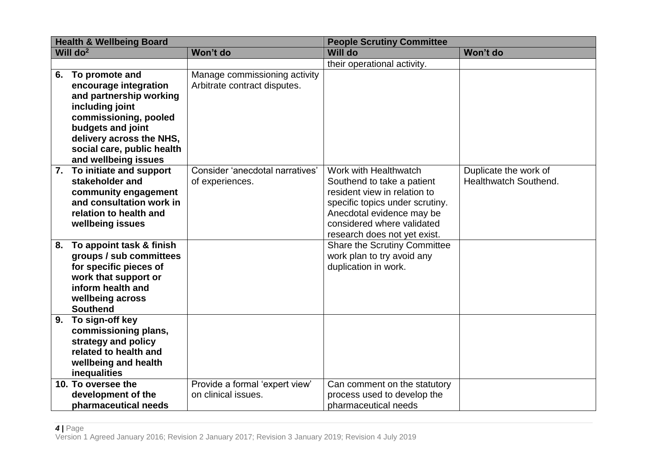| <b>Health &amp; Wellbeing Board</b> |                                               | <b>People Scrutiny Committee</b>                      |                                     |                       |
|-------------------------------------|-----------------------------------------------|-------------------------------------------------------|-------------------------------------|-----------------------|
|                                     | Will $do2$                                    | Won't do                                              | <b>Will do</b>                      | Won't do              |
|                                     |                                               |                                                       | their operational activity.         |                       |
|                                     | 6. To promote and                             | Manage commissioning activity                         |                                     |                       |
|                                     | encourage integration                         | Arbitrate contract disputes.                          |                                     |                       |
|                                     | and partnership working                       |                                                       |                                     |                       |
|                                     | including joint                               |                                                       |                                     |                       |
|                                     | commissioning, pooled                         |                                                       |                                     |                       |
|                                     | budgets and joint<br>delivery across the NHS, |                                                       |                                     |                       |
|                                     | social care, public health                    |                                                       |                                     |                       |
|                                     | and wellbeing issues                          |                                                       |                                     |                       |
|                                     | 7. To initiate and support                    | Consider 'anecdotal narratives'                       | Work with Healthwatch               | Duplicate the work of |
|                                     | stakeholder and                               | of experiences.                                       | Southend to take a patient          | Healthwatch Southend. |
|                                     | community engagement                          |                                                       | resident view in relation to        |                       |
|                                     | and consultation work in                      |                                                       | specific topics under scrutiny.     |                       |
|                                     | relation to health and                        |                                                       | Anecdotal evidence may be           |                       |
|                                     | wellbeing issues                              |                                                       | considered where validated          |                       |
|                                     |                                               |                                                       | research does not yet exist.        |                       |
| 8.                                  | To appoint task & finish                      |                                                       | <b>Share the Scrutiny Committee</b> |                       |
|                                     | groups / sub committees                       |                                                       | work plan to try avoid any          |                       |
|                                     | for specific pieces of                        |                                                       | duplication in work.                |                       |
|                                     | work that support or                          |                                                       |                                     |                       |
|                                     | inform health and                             |                                                       |                                     |                       |
|                                     | wellbeing across                              |                                                       |                                     |                       |
|                                     | <b>Southend</b>                               |                                                       |                                     |                       |
|                                     | 9. To sign-off key                            |                                                       |                                     |                       |
|                                     | commissioning plans,                          |                                                       |                                     |                       |
|                                     | strategy and policy                           |                                                       |                                     |                       |
|                                     | related to health and                         |                                                       |                                     |                       |
|                                     | wellbeing and health                          |                                                       |                                     |                       |
|                                     | inequalities<br>10. To oversee the            |                                                       | Can comment on the statutory        |                       |
|                                     | development of the                            | Provide a formal 'expert view'<br>on clinical issues. | process used to develop the         |                       |
|                                     | pharmaceutical needs                          |                                                       | pharmaceutical needs                |                       |
|                                     |                                               |                                                       |                                     |                       |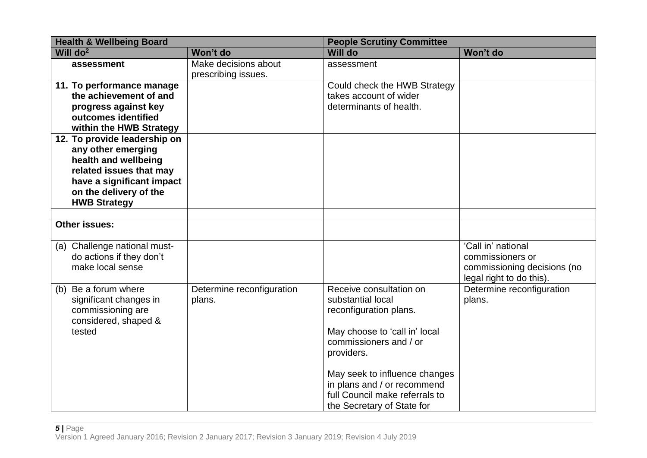| <b>Health &amp; Wellbeing Board</b> |                           | <b>People Scrutiny Committee</b>                             |                             |
|-------------------------------------|---------------------------|--------------------------------------------------------------|-----------------------------|
| Will $do2$                          | Won't do                  | <b>Will do</b>                                               | Won't do                    |
| assessment                          | Make decisions about      | assessment                                                   |                             |
|                                     | prescribing issues.       |                                                              |                             |
| 11. To performance manage           |                           | Could check the HWB Strategy                                 |                             |
| the achievement of and              |                           | takes account of wider                                       |                             |
| progress against key                |                           | determinants of health.                                      |                             |
| outcomes identified                 |                           |                                                              |                             |
| within the HWB Strategy             |                           |                                                              |                             |
| 12. To provide leadership on        |                           |                                                              |                             |
| any other emerging                  |                           |                                                              |                             |
| health and wellbeing                |                           |                                                              |                             |
| related issues that may             |                           |                                                              |                             |
| have a significant impact           |                           |                                                              |                             |
| on the delivery of the              |                           |                                                              |                             |
| <b>HWB Strategy</b>                 |                           |                                                              |                             |
| <b>Other issues:</b>                |                           |                                                              |                             |
|                                     |                           |                                                              |                             |
| (a) Challenge national must-        |                           |                                                              | 'Call in' national          |
| do actions if they don't            |                           |                                                              | commissioners or            |
| make local sense                    |                           |                                                              | commissioning decisions (no |
|                                     |                           |                                                              | legal right to do this).    |
| Be a forum where<br>(b)             | Determine reconfiguration | Receive consultation on                                      | Determine reconfiguration   |
| significant changes in              | plans.                    | substantial local                                            | plans.                      |
| commissioning are                   |                           | reconfiguration plans.                                       |                             |
| considered, shaped &                |                           |                                                              |                             |
| tested                              |                           | May choose to 'call in' local                                |                             |
|                                     |                           | commissioners and / or                                       |                             |
|                                     |                           | providers.                                                   |                             |
|                                     |                           |                                                              |                             |
|                                     |                           | May seek to influence changes<br>in plans and / or recommend |                             |
|                                     |                           | full Council make referrals to                               |                             |
|                                     |                           | the Secretary of State for                                   |                             |
|                                     |                           |                                                              |                             |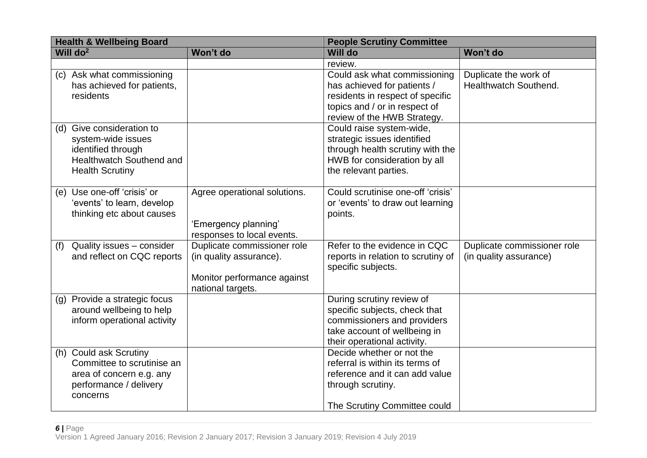| <b>Health &amp; Wellbeing Board</b>                                                                                                |                                                                                                            | <b>People Scrutiny Committee</b>                                                                                                                                |                                                       |
|------------------------------------------------------------------------------------------------------------------------------------|------------------------------------------------------------------------------------------------------------|-----------------------------------------------------------------------------------------------------------------------------------------------------------------|-------------------------------------------------------|
| Will $do2$                                                                                                                         | Won't do                                                                                                   | <b>Will do</b>                                                                                                                                                  | Won't do                                              |
|                                                                                                                                    |                                                                                                            | review.                                                                                                                                                         |                                                       |
| (c) Ask what commissioning<br>has achieved for patients,<br>residents                                                              |                                                                                                            | Could ask what commissioning<br>has achieved for patients /<br>residents in respect of specific<br>topics and / or in respect of<br>review of the HWB Strategy. | Duplicate the work of<br>Healthwatch Southend.        |
| (d) Give consideration to<br>system-wide issues<br>identified through<br><b>Healthwatch Southend and</b><br><b>Health Scrutiny</b> |                                                                                                            | Could raise system-wide,<br>strategic issues identified<br>through health scrutiny with the<br>HWB for consideration by all<br>the relevant parties.            |                                                       |
| (e) Use one-off 'crisis' or<br>'events' to learn, develop<br>thinking etc about causes                                             | Agree operational solutions.<br>'Emergency planning'<br>responses to local events.                         | Could scrutinise one-off 'crisis'<br>or 'events' to draw out learning<br>points.                                                                                |                                                       |
| Quality issues - consider<br>(f)<br>and reflect on CQC reports                                                                     | Duplicate commissioner role<br>(in quality assurance).<br>Monitor performance against<br>national targets. | Refer to the evidence in CQC<br>reports in relation to scrutiny of<br>specific subjects.                                                                        | Duplicate commissioner role<br>(in quality assurance) |
| (g) Provide a strategic focus<br>around wellbeing to help<br>inform operational activity                                           |                                                                                                            | During scrutiny review of<br>specific subjects, check that<br>commissioners and providers<br>take account of wellbeing in<br>their operational activity.        |                                                       |
| (h) Could ask Scrutiny<br>Committee to scrutinise an<br>area of concern e.g. any<br>performance / delivery<br>concerns             |                                                                                                            | Decide whether or not the<br>referral is within its terms of<br>reference and it can add value<br>through scrutiny.<br>The Scrutiny Committee could             |                                                       |